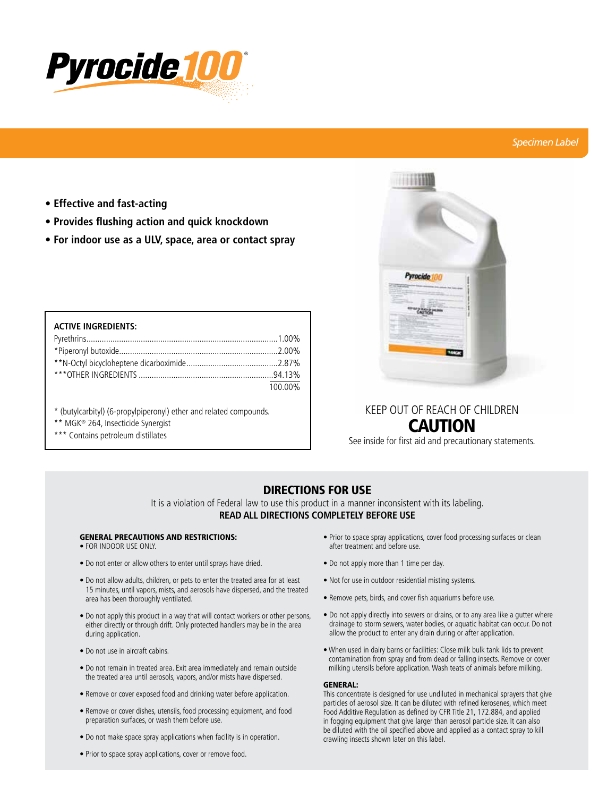

## *Specimen Label*

- **Effective and fast-acting**
- **Provides flushing action and quick knockdown**
- **For indoor use as a ULV, space, area or contact spray**

| <b>ACTIVE INGREDIENTS:</b> |         |
|----------------------------|---------|
|                            |         |
|                            |         |
|                            |         |
|                            |         |
|                            | 100.00% |

- \* (butylcarbityl) (6-propylpiperonyl) ether and related compounds.
- \*\* MGK® 264, Insecticide Synergist
- \*\*\* Contains petroleum distillates



# KEEP OUT OF REACH OF CHILDREN CAUTION

See inside for first aid and precautionary statements.

# DIRECTIONS FOR USE

It is a violation of Federal law to use this product in a manner inconsistent with its labeling. **READ ALL DIRECTIONS COMPLETELY BEFORE USE**

## GENERAL PRECAUTIONS AND RESTRICTIONS:

- FOR INDOOR USE ONLY.
- Do not enter or allow others to enter until sprays have dried.
- Do not allow adults, children, or pets to enter the treated area for at least 15 minutes, until vapors, mists, and aerosols have dispersed, and the treated area has been thoroughly ventilated.
- Do not apply this product in a way that will contact workers or other persons, either directly or through drift. Only protected handlers may be in the area during application.
- Do not use in aircraft cabins.
- Do not remain in treated area. Exit area immediately and remain outside the treated area until aerosols, vapors, and/or mists have dispersed.
- Remove or cover exposed food and drinking water before application.
- Remove or cover dishes, utensils, food processing equipment, and food preparation surfaces, or wash them before use.
- Do not make space spray applications when facility is in operation.
- Prior to space spray applications, cover or remove food.
- Prior to space spray applications, cover food processing surfaces or clean after treatment and before use.
- Do not apply more than 1 time per day.
- Not for use in outdoor residential misting systems.
- Remove pets, birds, and cover fish aquariums before use.
- Do not apply directly into sewers or drains, or to any area like a gutter where drainage to storm sewers, water bodies, or aquatic habitat can occur. Do not allow the product to enter any drain during or after application.
- When used in dairy barns or facilities: Close milk bulk tank lids to prevent contamination from spray and from dead or falling insects. Remove or cover milking utensils before application. Wash teats of animals before milking.

### GENERAL:

This concentrate is designed for use undiluted in mechanical sprayers that give particles of aerosol size. It can be diluted with refined kerosenes, which meet Food Additive Regulation as defined by CFR Title 21, 172.884, and applied in fogging equipment that give larger than aerosol particle size. It can also be diluted with the oil specified above and applied as a contact spray to kill crawling insects shown later on this label.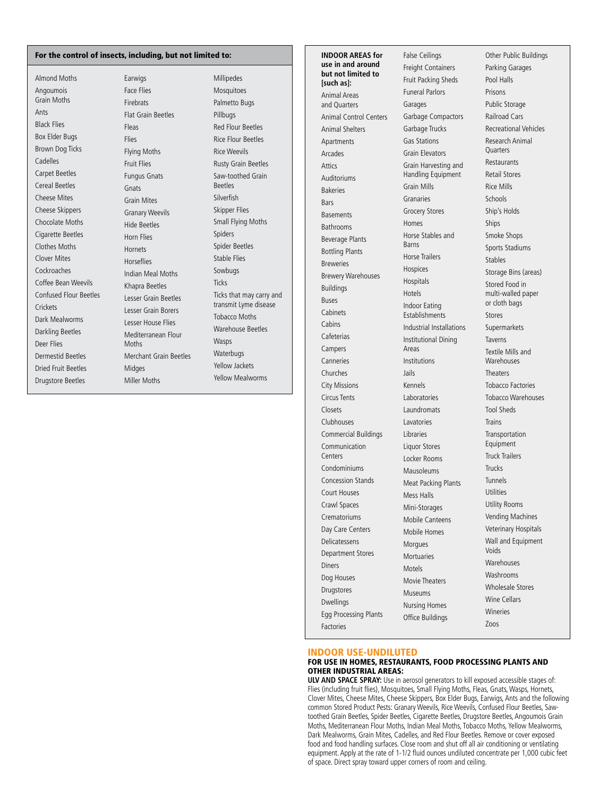#### For the control of insects, including, but not limited to:

Almond Moths Angoumois Grain Moths Ants Black Flies Box Elder Bugs Brown Dog Ticks Cadelles Carpet Beetles Cereal Beetles Cheese Mites Cheese Skippers Chocolate Moths Cigarette Beetles Clothes Moths Clover Mites Cockroaches Coffee Bean Weevils Confused Flour Beetles **Crickets** Dark Mealworms Darkling Beetles Deer Flies Dermestid Beetles Dried Fruit Beetles Drugstore Beetles

Earwigs Face Flies Firebrats Flat Grain Beetles Fleas Flies Flying Moths Fruit Flies Fungus Gnats **Gnats** Grain Mites Granary Weevils Hide Beetles Horn Flies **Hornets** Horseflies Indian Meal Moths Khapra Beetles Lesser Grain Beetles Lesser Grain Borers Lesser House Flies Mediterranean Flour Moths Merchant Grain Beetles Midges Miller Moths

Millipedes **Mosquitoes** Palmetto Bugs Pillbugs Red Flour Beetles Rice Flour Beetles Rice Weevils Rusty Grain Beetles Saw-toothed Grain Beetles Silverfich Skipper Flies Small Flying Moths Spiders Spider Beetles Stable Flies Sowbugs Ticks Ticks that may carry and transmit Lyme disease Tobacco Moths Warehouse Beetles Wasps **Waterbugs** Yellow Jackets Yellow Mealworms

**INDOOR AREAS for use in and around but not limited to [such as]:** Animal Areas and Quarters Animal Control Centers Animal Shelters Apartments Arcades Attics Auditoriums Bakeries **Bars** Basements Bathrooms Beverage Plants Bottling Plants Breweries Brewery Warehouses Buildings Buses **Cabinets Cabins** Cafeterias Campers Canneries Churches City Missions Circus Tents Closets Clubhouses Commercial Buildings Communication Centers Condominiums Concession Stands Court Houses Crawl Spaces Crematoriums Day Care Centers Delicatessens Department Stores Diners Dog Houses Drugstores Dwellings Egg Processing Plants Factories

False Ceilings Freight Containers Fruit Packing Sheds Funeral Parlors Garages Garbage Compactors Garbage Trucks Gas Stations Grain Elevators Grain Harvesting and Handling Equipment Grain Mills Granaries Grocery Stores Homes Horse Stables and Barns Horse Trailers Hospices Hospitals Hotels Indoor Eating **Establishments** Industrial Installations Institutional Dining Areas Institutions Jails Kennels Laboratories Laundromats Lavatories Libraries Liquor Stores Locker Rooms Mausoleums Meat Packing Plants Mess Halls Mini-Storages Mobile Canteens Mobile Homes Morgues **Mortuaries** Motels Movie Theaters Museums Nursing Homes Office Buildings

Other Public Buildings Parking Garages Pool Halls Prisons Public Storage Railroad Cars Recreational Vehicles Research Animal **Quarters** Restaurants Retail Stores Rice Mills Schools Ship's Holds Ships Smoke Shops Sports Stadiums Stables Storage Bins (areas) Stored Food in multi-walled paper or cloth bags Stores Supermarkets Taverns Textile Mills and **Warehouses** Theaters Tobacco Factories Tobacco Warehouses Tool Sheds Trains Transportation Equipment Truck Trailers Trucks Tunnels Utilities Utility Rooms Vending Machines Veterinary Hospitals Wall and Equipment Voids **Warehouses** Washrooms Wholesale Stores Wine Cellars Wineries Zoos

#### INDOOR USE-UNDILUTED

### FOR USE IN HOMES, RESTAURANTS, FOOD PROCESSING PLANTS AND OTHER INDUSTRIAL AREAS:

**ULV AND SPACE SPRAY:** Use in aerosol generators to kill exposed accessible stages of: Flies (including fruit flies), Mosquitoes, Small Flying Moths, Fleas, Gnats, Wasps, Hornets, Clover Mites, Cheese Mites, Cheese Skippers, Box Elder Bugs, Earwigs, Ants and the following common Stored Product Pests: Granary Weevils, Rice Weevils, Confused Flour Beetles, Sawtoothed Grain Beetles, Spider Beetles, Cigarette Beetles, Drugstore Beetles, Angoumois Grain Moths, Mediterranean Flour Moths, Indian Meal Moths, Tobacco Moths, Yellow Mealworms, Dark Mealworms, Grain Mites, Cadelles, and Red Flour Beetles. Remove or cover exposed food and food handling surfaces. Close room and shut off all air conditioning or ventilating equipment. Apply at the rate of 1-1/2 fluid ounces undiluted concentrate per 1,000 cubic feet of space. Direct spray toward upper corners of room and ceiling.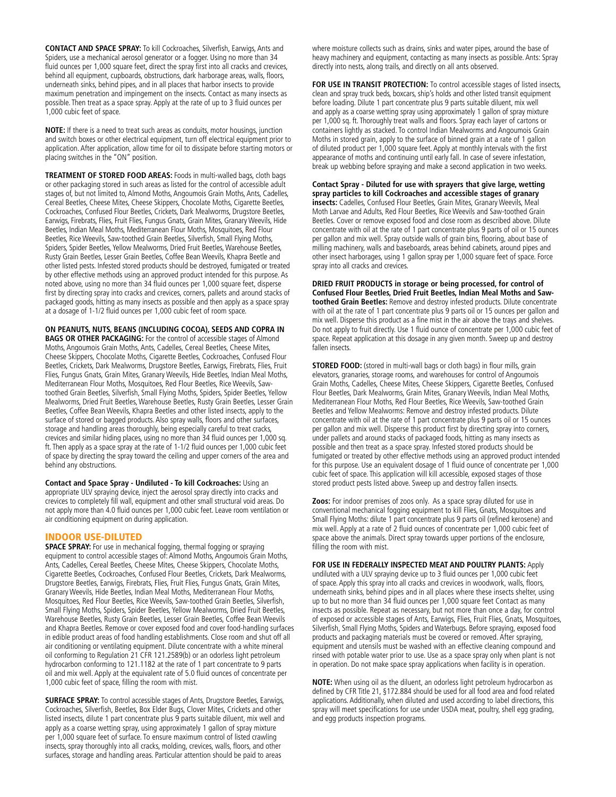**CONTACT AND SPACE SPRAY:** To kill Cockroaches, Silverfish, Earwigs, Ants and Spiders, use a mechanical aerosol generator or a fogger. Using no more than 34 fluid ounces per 1,000 square feet, direct the spray first into all cracks and crevices, behind all equipment, cupboards, obstructions, dark harborage areas, walls, floors, underneath sinks, behind pipes, and in all places that harbor insects to provide maximum penetration and impingement on the insects. Contact as many insects as possible. Then treat as a space spray. Apply at the rate of up to 3 fluid ounces per 1,000 cubic feet of space.

**NOTE:** If there is a need to treat such areas as conduits, motor housings, junction and switch boxes or other electrical equipment, turn off electrical equipment prior to application. After application, allow time for oil to dissipate before starting motors or placing switches in the "ON" position.

**TREATMENT OF STORED FOOD AREAS:** Foods in multi-walled bags, cloth bags or other packaging stored in such areas as listed for the control of accessible adult stages of, but not limited to, Almond Moths, Angoumois Grain Moths, Ants, Cadelles, Cereal Beetles, Cheese Mites, Cheese Skippers, Chocolate Moths, Cigarette Beetles, Cockroaches, Confused Flour Beetles, Crickets, Dark Mealworms, Drugstore Beetles, Earwigs, Firebrats, Flies, Fruit Flies, Fungus Gnats, Grain Mites, Granary Weevils, Hide Beetles, Indian Meal Moths, Mediterranean Flour Moths, Mosquitoes, Red Flour Beetles, Rice Weevils, Saw-toothed Grain Beetles, Silverfish, Small Flying Moths, Spiders, Spider Beetles, Yellow Mealworms, Dried Fruit Beetles, Warehouse Beetles, Rusty Grain Beetles, Lesser Grain Beetles, Coffee Bean Weevils, Khapra Beetle and other listed pests. Infested stored products should be destroyed, fumigated or treated by other effective methods using an approved product intended for this purpose. As noted above, using no more than 34 fluid ounces per 1,000 square feet, disperse first by directing spray into cracks and crevices, corners, pallets and around stacks of packaged goods, hitting as many insects as possible and then apply as a space spray at a dosage of 1-1/2 fluid ounces per 1,000 cubic feet of room space.

**ON PEANUTS, NUTS, BEANS (INCLUDING COCOA), SEEDS AND COPRA IN BAGS OR OTHER PACKAGING:** For the control of accessible stages of Almond Moths, Angoumois Grain Moths, Ants, Cadelles, Cereal Beetles, Cheese Mites, Cheese Skippers, Chocolate Moths, Cigarette Beetles, Cockroaches, Confused Flour Beetles, Crickets, Dark Mealworms, Drugstore Beetles, Earwigs, Firebrats, Flies, Fruit Flies, Fungus Gnats, Grain Mites, Granary Weevils, Hide Beetles, Indian Meal Moths, Mediterranean Flour Moths, Mosquitoes, Red Flour Beetles, Rice Weevils, Sawtoothed Grain Beetles, Silverfish, Small Flying Moths, Spiders, Spider Beetles, Yellow Mealworms, Dried Fruit Beetles, Warehouse Beetles, Rusty Grain Beetles, Lesser Grain Beetles, Coffee Bean Weevils, Khapra Beetles and other listed insects, apply to the surface of stored or bagged products. Also spray walls, floors and other surfaces, storage and handling areas thoroughly, being especially careful to treat cracks, crevices and similar hiding places, using no more than 34 fluid ounces per 1,000 sq. ft. Then apply as a space spray at the rate of 1-1/2 fluid ounces per 1,000 cubic feet of space by directing the spray toward the ceiling and upper corners of the area and behind any obstructions.

**Contact and Space Spray - Undiluted - To kill Cockroaches:** Using an appropriate ULV spraying device, inject the aerosol spray directly into cracks and crevices to completely fill wall, equipment and other small structural void areas. Do not apply more than 4.0 fluid ounces per 1,000 cubic feet. Leave room ventilation or air conditioning equipment on during application.

### INDOOR USE-DILUTED

**SPACE SPRAY:** For use in mechanical fogging, thermal fogging or spraying equipment to control accessible stages of: Almond Moths, Angoumois Grain Moths, Ants, Cadelles, Cereal Beetles, Cheese Mites, Cheese Skippers, Chocolate Moths, Cigarette Beetles, Cockroaches, Confused Flour Beetles, Crickets, Dark Mealworms, Drugstore Beetles, Earwigs, Firebrats, Flies, Fruit Flies, Fungus Gnats, Grain Mites, Granary Weevils, Hide Beetles, Indian Meal Moths, Mediterranean Flour Moths, Mosquitoes, Red Flour Beetles, Rice Weevils, Saw-toothed Grain Beetles, Silverfish, Small Flying Moths, Spiders, Spider Beetles, Yellow Mealworms, Dried Fruit Beetles, Warehouse Beetles, Rusty Grain Beetles, Lesser Grain Beetles, Coffee Bean Weevils and Khapra Beetles. Remove or cover exposed food and cover food-handling surfaces in edible product areas of food handling establishments. Close room and shut off all air conditioning or ventilating equipment. Dilute concentrate with a white mineral oil conforming to Regulation 21 CFR 121.2589(b) or an odorless light petroleum hydrocarbon conforming to 121.1182 at the rate of 1 part concentrate to 9 parts oil and mix well. Apply at the equivalent rate of 5.0 fluid ounces of concentrate per 1,000 cubic feet of space, filling the room with mist.

**SURFACE SPRAY:** To control accessible stages of Ants, Drugstore Beetles, Earwigs, Cockroaches, Silverfish, Beetles, Box Elder Bugs, Clover Mites, Crickets and other listed insects, dilute 1 part concentrate plus 9 parts suitable diluent, mix well and apply as a coarse wetting spray, using approximately 1 gallon of spray mixture per 1,000 square feet of surface. To ensure maximum control of listed crawling insects, spray thoroughly into all cracks, molding, crevices, walls, floors, and other surfaces, storage and handling areas. Particular attention should be paid to areas

where moisture collects such as drains, sinks and water pipes, around the base of heavy machinery and equipment, contacting as many insects as possible. Ants: Spray directly into nests, along trails, and directly on all ants observed.

FOR USE IN TRANSIT PROTECTION: To control accessible stages of listed insects, clean and spray truck beds, boxcars, ship's holds and other listed transit equipment before loading. Dilute 1 part concentrate plus 9 parts suitable diluent, mix well and apply as a coarse wetting spray using approximately 1 gallon of spray mixture per 1,000 sq. ft. Thoroughly treat walls and floors. Spray each layer of cartons or containers lightly as stacked. To control Indian Mealworms and Angoumois Grain Moths in stored grain, apply to the surface of binned grain at a rate of 1 gallon of diluted product per 1,000 square feet. Apply at monthly intervals with the first appearance of moths and continuing until early fall. In case of severe infestation, break up webbing before spraying and make a second application in two weeks.

**Contact Spray - Diluted for use with sprayers that give large, wetting spray particles to kill Cockroaches and accessible stages of granary insects:** Cadelles, Confused Flour Beetles, Grain Mites, Granary Weevils, Meal Moth Larvae and Adults, Red Flour Beetles, Rice Weevils and Saw-toothed Grain Beetles. Cover or remove exposed food and close room as described above. Dilute concentrate with oil at the rate of 1 part concentrate plus 9 parts of oil or 15 ounces per gallon and mix well. Spray outside walls of grain bins, flooring, about base of milling machinery, walls and baseboards, areas behind cabinets, around pipes and other insect harborages, using 1 gallon spray per 1,000 square feet of space. Force spray into all cracks and crevices.

**DRIED FRUIT PRODUCTS in storage or being processed, for control of Confused Flour Beetles, Dried Fruit Beetles, Indian Meal Moths and Sawtoothed Grain Beetles:** Remove and destroy infested products. Dilute concentrate with oil at the rate of 1 part concentrate plus 9 parts oil or 15 ounces per gallon and mix well. Disperse this product as a fine mist in the air above the trays and shelves. Do not apply to fruit directly. Use 1 fluid ounce of concentrate per 1,000 cubic feet of space. Repeat application at this dosage in any given month. Sweep up and destroy fallen insects.

**STORED FOOD:** (stored in multi-wall bags or cloth bags) in flour mills, grain elevators, granaries, storage rooms, and warehouses for control of Angoumois Grain Moths, Cadelles, Cheese Mites, Cheese Skippers, Cigarette Beetles, Confused Flour Beetles, Dark Mealworms, Grain Mites, Granary Weevils, Indian Meal Moths, Mediterranean Flour Moths, Red Flour Beetles, Rice Weevils, Saw-toothed Grain Beetles and Yellow Mealworms: Remove and destroy infested products. Dilute concentrate with oil at the rate of 1 part concentrate plus 9 parts oil or 15 ounces per gallon and mix well. Disperse this product first by directing spray into corners, under pallets and around stacks of packaged foods, hitting as many insects as possible and then treat as a space spray. Infested stored products should be fumigated or treated by other effective methods using an approved product intended for this purpose. Use an equivalent dosage of 1 fluid ounce of concentrate per 1,000 cubic feet of space. This application will kill accessible, exposed stages of those stored product pests listed above. Sweep up and destroy fallen insects.

**Zoos:** For indoor premises of zoos only. As a space spray diluted for use in conventional mechanical fogging equipment to kill Flies, Gnats, Mosquitoes and Small Flying Moths: dilute 1 part concentrate plus 9 parts oil (refined kerosene) and mix well. Apply at a rate of 2 fluid ounces of concentrate per 1,000 cubic feet of space above the animals. Direct spray towards upper portions of the enclosure, filling the room with mist.

**FOR USE IN FEDERALLY INSPECTED MEAT AND POULTRY PLANTS: Apply** undiluted with a ULV spraying device up to 3 fluid ounces per 1,000 cubic feet of space. Apply this spray into all cracks and crevices in woodwork, walls, floors, underneath sinks, behind pipes and in all places where these insects shelter, using up to but no more than 34 fluid ounces per 1,000 square feet Contact as many insects as possible. Repeat as necessary, but not more than once a day, for control of exposed or accessible stages of Ants, Earwigs, Flies, Fruit Flies, Gnats, Mosquitoes, Silverfish, Small Flying Moths, Spiders and Waterbugs. Before spraying, exposed food products and packaging materials must be covered or removed. After spraying, equipment and utensils must be washed with an effective cleaning compound and rinsed with potable water prior to use. Use as a space spray only when plant is not in operation. Do not make space spray applications when facility is in operation.

**NOTE:** When using oil as the diluent, an odorless light petroleum hydrocarbon as defined by CFR Title 21, §172.884 should be used for all food area and food related applications. Additionally, when diluted and used according to label directions, this spray will meet specifications for use under USDA meat, poultry, shell egg grading, and egg products inspection programs.